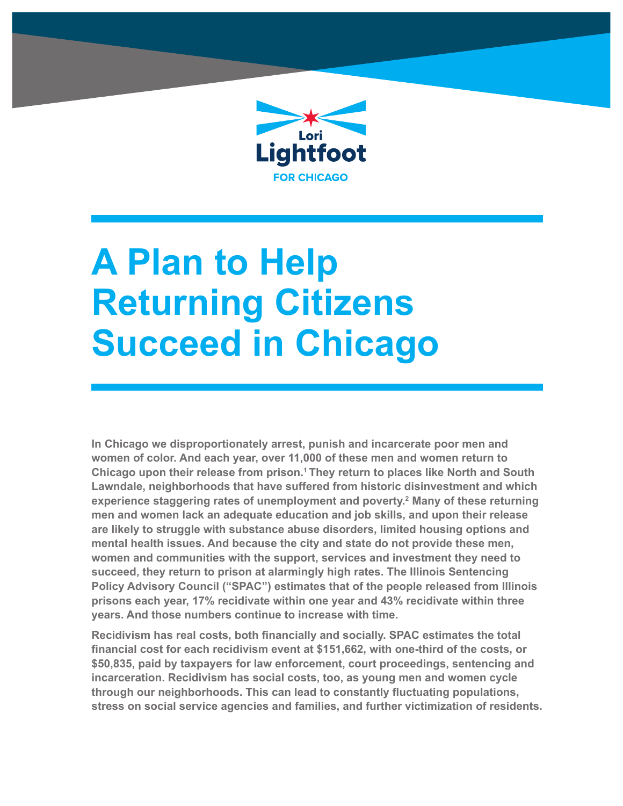

# **A Plan to Help Returning Citizens Succeed in Chicago**

**In Chicago we disproportionately arrest, punish and incarcerate poor men and women of color. And each year, over 11,000 of these men and women return to Chicago upon their release from prison.1 They return to places like North and South Lawndale, neighborhoods that have suffered from historic disinvestment and which experience staggering rates of unemployment and poverty.2 Many of these returning men and women lack an adequate education and job skills, and upon their release are likely to struggle with substance abuse disorders, limited housing options and mental health issues. And because the city and state do not provide these men, women and communities with the support, services and investment they need to succeed, they return to prison at alarmingly high rates. The Illinois Sentencing Policy Advisory Council ("SPAC") estimates that of the people released from Illinois prisons each year, 17% recidivate within one year and 43% recidivate within three years. And those numbers continue to increase with time.**

**Recidivism has real costs, both financially and socially. SPAC estimates the total financial cost for each recidivism event at \$151,662, with one-third of the costs, or \$50,835, paid by taxpayers for law enforcement, court proceedings, sentencing and incarceration. Recidivism has social costs, too, as young men and women cycle through our neighborhoods. This can lead to constantly fluctuating populations, stress on social service agencies and families, and further victimization of residents.**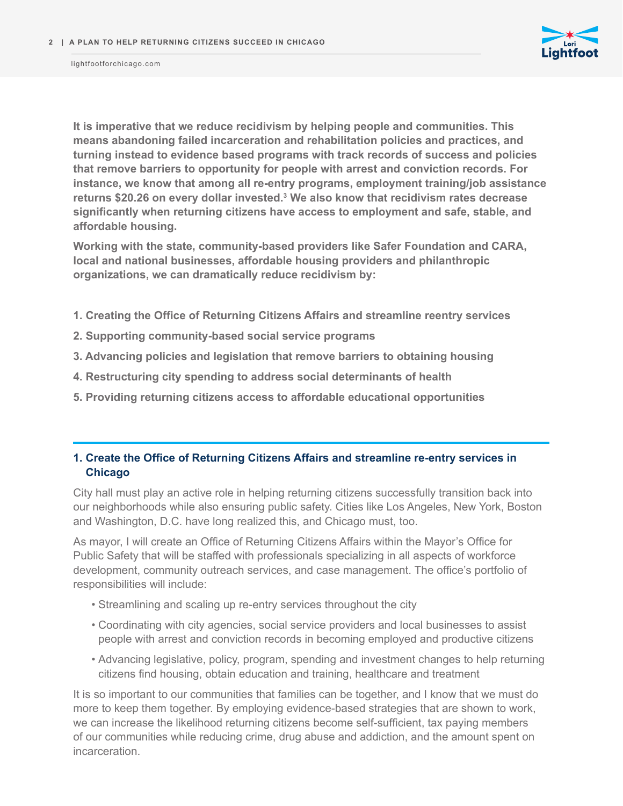

**It is imperative that we reduce recidivism by helping people and communities. This means abandoning failed incarceration and rehabilitation policies and practices, and turning instead to evidence based programs with track records of success and policies that remove barriers to opportunity for people with arrest and conviction records. For instance, we know that among all re-entry programs, employment training/job assistance returns \$20.26 on every dollar invested.<sup>3</sup> We also know that recidivism rates decrease significantly when returning citizens have access to employment and safe, stable, and affordable housing.** 

**Working with the state, community-based providers like Safer Foundation and CARA, local and national businesses, affordable housing providers and philanthropic organizations, we can dramatically reduce recidivism by:**

- **1. Creating the Office of Returning Citizens Affairs and streamline reentry services**
- **2. Supporting community-based social service programs**
- **3. Advancing policies and legislation that remove barriers to obtaining housing**
- **4. Restructuring city spending to address social determinants of health**
- **5. Providing returning citizens access to affordable educational opportunities**

## **1. Create the Office of Returning Citizens Affairs and streamline re-entry services in Chicago**

City hall must play an active role in helping returning citizens successfully transition back into our neighborhoods while also ensuring public safety. Cities like Los Angeles, New York, Boston and Washington, D.C. have long realized this, and Chicago must, too.

As mayor, I will create an Office of Returning Citizens Affairs within the Mayor's Office for Public Safety that will be staffed with professionals specializing in all aspects of workforce development, community outreach services, and case management. The office's portfolio of responsibilities will include:

- Streamlining and scaling up re-entry services throughout the city
- Coordinating with city agencies, social service providers and local businesses to assist people with arrest and conviction records in becoming employed and productive citizens
- Advancing legislative, policy, program, spending and investment changes to help returning citizens find housing, obtain education and training, healthcare and treatment

It is so important to our communities that families can be together, and I know that we must do more to keep them together. By employing evidence-based strategies that are shown to work, we can increase the likelihood returning citizens become self-sufficient, tax paying members of our communities while reducing crime, drug abuse and addiction, and the amount spent on incarceration.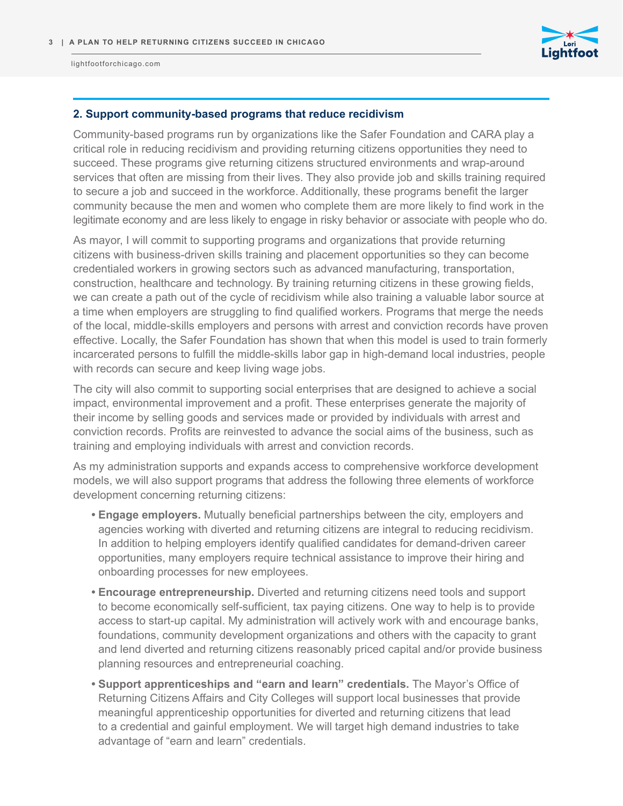

### **2. Support community-based programs that reduce recidivism**

Community-based programs run by organizations like the Safer Foundation and CARA play a critical role in reducing recidivism and providing returning citizens opportunities they need to succeed. These programs give returning citizens structured environments and wrap-around services that often are missing from their lives. They also provide job and skills training required to secure a job and succeed in the workforce. Additionally, these programs benefit the larger community because the men and women who complete them are more likely to find work in the legitimate economy and are less likely to engage in risky behavior or associate with people who do.

As mayor, I will commit to supporting programs and organizations that provide returning citizens with business-driven skills training and placement opportunities so they can become credentialed workers in growing sectors such as advanced manufacturing, transportation, construction, healthcare and technology. By training returning citizens in these growing fields, we can create a path out of the cycle of recidivism while also training a valuable labor source at a time when employers are struggling to find qualified workers. Programs that merge the needs of the local, middle-skills employers and persons with arrest and conviction records have proven effective. Locally, the Safer Foundation has shown that when this model is used to train formerly incarcerated persons to fulfill the middle-skills labor gap in high-demand local industries, people with records can secure and keep living wage jobs.

The city will also commit to supporting social enterprises that are designed to achieve a social impact, environmental improvement and a profit. These enterprises generate the majority of their income by selling goods and services made or provided by individuals with arrest and conviction records. Profits are reinvested to advance the social aims of the business, such as training and employing individuals with arrest and conviction records.

As my administration supports and expands access to comprehensive workforce development models, we will also support programs that address the following three elements of workforce development concerning returning citizens:

- **• Engage employers.** Mutually beneficial partnerships between the city, employers and agencies working with diverted and returning citizens are integral to reducing recidivism. In addition to helping employers identify qualified candidates for demand-driven career opportunities, many employers require technical assistance to improve their hiring and onboarding processes for new employees.
- **• Encourage entrepreneurship.** Diverted and returning citizens need tools and support to become economically self-sufficient, tax paying citizens. One way to help is to provide access to start-up capital. My administration will actively work with and encourage banks, foundations, community development organizations and others with the capacity to grant and lend diverted and returning citizens reasonably priced capital and/or provide business planning resources and entrepreneurial coaching.
- **• Support apprenticeships and "earn and learn" credentials.** The Mayor's Office of Returning Citizens Affairs and City Colleges will support local businesses that provide meaningful apprenticeship opportunities for diverted and returning citizens that lead to a credential and gainful employment. We will target high demand industries to take advantage of "earn and learn" credentials.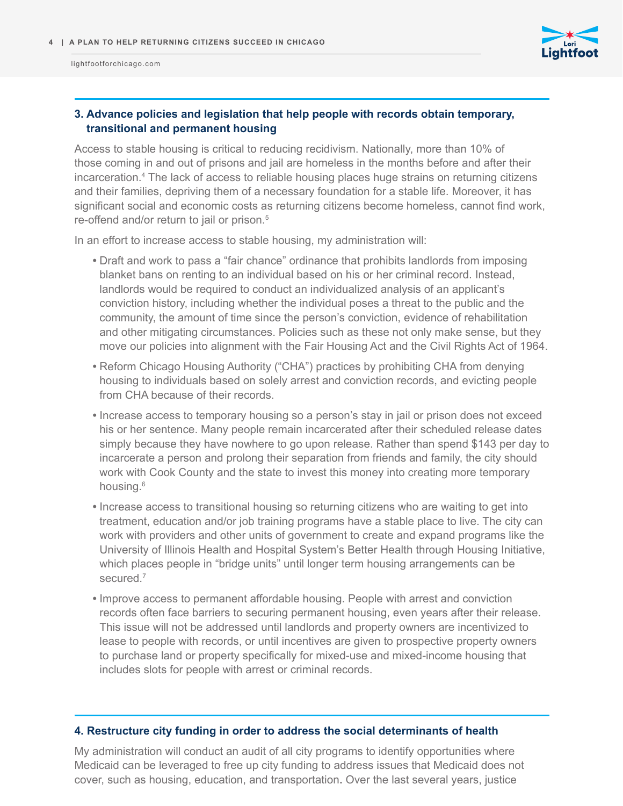

# **3. Advance policies and legislation that help people with records obtain temporary, transitional and permanent housing**

Access to stable housing is critical to reducing recidivism. Nationally, more than 10% of those coming in and out of prisons and jail are homeless in the months before and after their incarceration.<sup>4</sup> The lack of access to reliable housing places huge strains on returning citizens and their families, depriving them of a necessary foundation for a stable life. Moreover, it has significant social and economic costs as returning citizens become homeless, cannot find work, re-offend and/or return to jail or prison.<sup>5</sup>

In an effort to increase access to stable housing, my administration will:

- **•** Draft and work to pass a "fair chance" ordinance that prohibits landlords from imposing blanket bans on renting to an individual based on his or her criminal record. Instead, landlords would be required to conduct an individualized analysis of an applicant's conviction history, including whether the individual poses a threat to the public and the community, the amount of time since the person's conviction, evidence of rehabilitation and other mitigating circumstances. Policies such as these not only make sense, but they move our policies into alignment with the Fair Housing Act and the Civil Rights Act of 1964.
- **•** Reform Chicago Housing Authority ("CHA") practices by prohibiting CHA from denying housing to individuals based on solely arrest and conviction records, and evicting people from CHA because of their records.
- **•** Increase access to temporary housing so a person's stay in jail or prison does not exceed his or her sentence. Many people remain incarcerated after their scheduled release dates simply because they have nowhere to go upon release. Rather than spend \$143 per day to incarcerate a person and prolong their separation from friends and family, the city should work with Cook County and the state to invest this money into creating more temporary housing.<sup>6</sup>
- **•** Increase access to transitional housing so returning citizens who are waiting to get into treatment, education and/or job training programs have a stable place to live. The city can work with providers and other units of government to create and expand programs like the University of Illinois Health and Hospital System's Better Health through Housing Initiative, which places people in "bridge units" until longer term housing arrangements can be secured.<sup>7</sup>
- **•** Improve access to permanent affordable housing. People with arrest and conviction records often face barriers to securing permanent housing, even years after their release. This issue will not be addressed until landlords and property owners are incentivized to lease to people with records, or until incentives are given to prospective property owners to purchase land or property specifically for mixed-use and mixed-income housing that includes slots for people with arrest or criminal records.

## **4. Restructure city funding in order to address the social determinants of health**

My administration will conduct an audit of all city programs to identify opportunities where Medicaid can be leveraged to free up city funding to address issues that Medicaid does not cover, such as housing, education, and transportation**.** Over the last several years, justice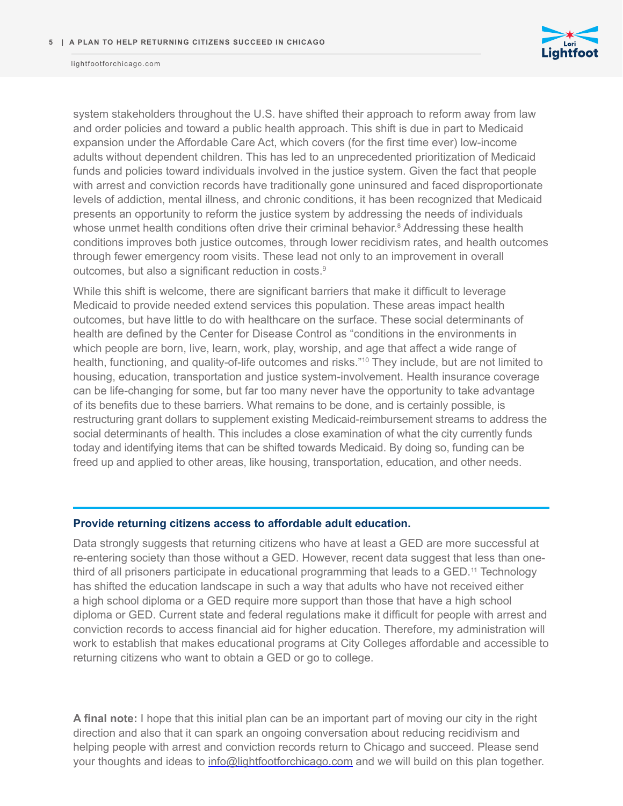

system stakeholders throughout the U.S. have shifted their approach to reform away from law and order policies and toward a public health approach. This shift is due in part to Medicaid expansion under the Affordable Care Act, which covers (for the first time ever) low-income adults without dependent children. This has led to an unprecedented prioritization of Medicaid funds and policies toward individuals involved in the justice system. Given the fact that people with arrest and conviction records have traditionally gone uninsured and faced disproportionate levels of addiction, mental illness, and chronic conditions, it has been recognized that Medicaid presents an opportunity to reform the justice system by addressing the needs of individuals whose unmet health conditions often drive their criminal behavior.<sup>8</sup> Addressing these health conditions improves both justice outcomes, through lower recidivism rates, and health outcomes through fewer emergency room visits. These lead not only to an improvement in overall outcomes, but also a significant reduction in costs.<sup>9</sup>

While this shift is welcome, there are significant barriers that make it difficult to leverage Medicaid to provide needed extend services this population. These areas impact health outcomes, but have little to do with healthcare on the surface. These social determinants of health are defined by the Center for Disease Control as "conditions in the environments in which people are born, live, learn, work, play, worship, and age that affect a wide range of health, functioning, and quality-of-life outcomes and risks."<sup>10</sup> They include, but are not limited to housing, education, transportation and justice system-involvement. Health insurance coverage can be life-changing for some, but far too many never have the opportunity to take advantage of its benefits due to these barriers. What remains to be done, and is certainly possible, is restructuring grant dollars to supplement existing Medicaid-reimbursement streams to address the social determinants of health. This includes a close examination of what the city currently funds today and identifying items that can be shifted towards Medicaid. By doing so, funding can be freed up and applied to other areas, like housing, transportation, education, and other needs.

#### **Provide returning citizens access to affordable adult education.**

Data strongly suggests that returning citizens who have at least a GED are more successful at re-entering society than those without a GED. However, recent data suggest that less than onethird of all prisoners participate in educational programming that leads to a GED.11 Technology has shifted the education landscape in such a way that adults who have not received either a high school diploma or a GED require more support than those that have a high school diploma or GED. Current state and federal regulations make it difficult for people with arrest and conviction records to access financial aid for higher education. Therefore, my administration will work to establish that makes educational programs at City Colleges affordable and accessible to returning citizens who want to obtain a GED or go to college.

**A final note:** I hope that this initial plan can be an important part of moving our city in the right direction and also that it can spark an ongoing conversation about reducing recidivism and helping people with arrest and conviction records return to Chicago and succeed. Please send your thoughts and ideas to info@lightfootforchicago.com and we will build on this plan together.